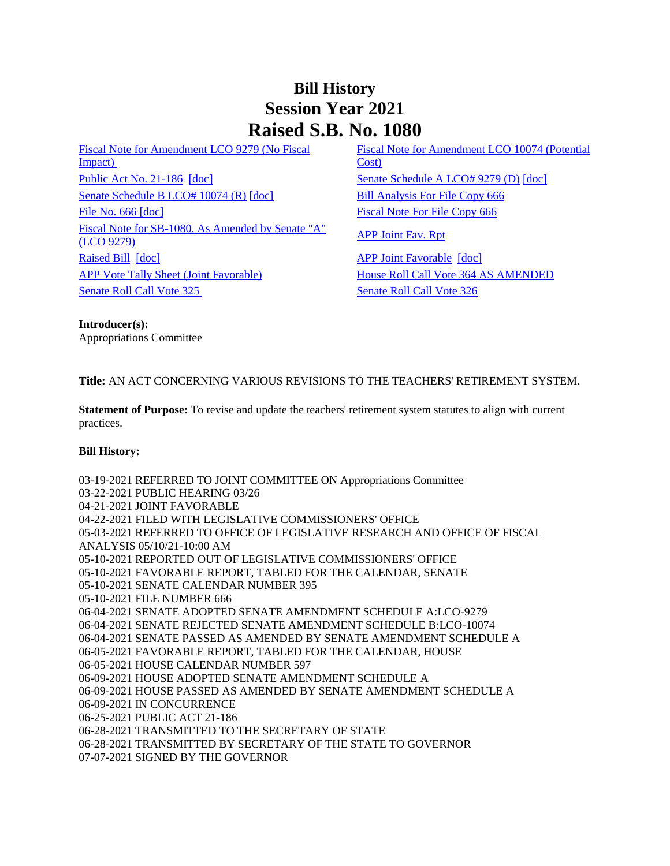## **Bill History Session Year 2021 Raised S.B. No. 1080**

[Fiscal Note for Amendment LCO 9279 \(No Fiscal](/2021/fna/pdf/2021SB-01080-R00LCO09279-FNA.PDF)  Impact) [Public Act No. 21-186](/2021/ACT/PA/PDF/2021PA-00186-R00SB-01080-PA.PDF) [\[doc\]](https://search.cga.state.ct.us/dl2021/AMd/DOC/2021SB-01080-R00SA-AMD.Docx) [Senate Schedule A LCO# 9279 \(D\)](/2021/amd/S/pdf/2021SB-01080-R00SA-AMD.pdf) [doc] [Senate Schedule B LCO# 10074 \(R\)](/2021/amd/S/pdf/2021SB-01080-R00SB-AMD.pdf) [\[doc\]](https://search.cga.state.ct.us/dl2021/AMd/DOC/2021SB-01080-R00SB-AMD.Docx) [Bill Analysis For File Copy 666](/2021/BA/PDF/2021SB-01080-R000666-BA.PDF) [File No. 666](/2021/FC/PDF/2021SB-01080-R000666-FC.PDF) [\[doc\]](/2021/FC/PDF/2021SB-01080-R000666-FC.PDF) [Fiscal Note For File Copy 666](/2021/FN/PDF/2021SB-01080-R000666-FN.PDF) [Fiscal Note for SB-1080, As Amended by Senate "A"](/2021/FN/PDF/2021SB-01080-R01-FN.PDF)  Tiscal Note tof SD-1060, As Amended by Senate A<br>[\(LCO 9279\)](/2021/FN/PDF/2021SB-01080-R01-FN.PDF) [APP Joint Fav. Rpt](/2021/JFR/S/PDF/2021SB-01080-R00APP-JFR.PDF) [Raised Bill](/2021/TOB/S/PDF/2021SB-01080-R00-SB.PDF) [\[doc\]](https://search.cga.state.ct.us/dl2021/TOB/DOC/2021SB-01080-R01-SB.DOCX) [APP Joint Favorable](/2021/TOB/S/PDF/2021SB-01080-R01-SB.PDF) [doc] [APP Vote Tally Sheet \(Joint Favorable\)](/2021/TS/S/PDF/2021SB-01080-R00APP-CV49-TS.PDF) [House Roll Call Vote 364 AS AMENDED](/2021/VOTE/H/PDF/2021HV-00364-R00SB01080-HV.PDF)  [Senate Roll Call Vote 325](/2021/VOTE/S/PDF/2021SV-00325-R00SB01080-SV.PDF) [Senate Roll Call Vote 326](/2021/VOTE/S/PDF/2021SV-00326-R00SB01080-SV.PDF) 

[Fiscal Note for Amendment LCO 10074 \(Potential](/2021/fna/pdf/2021SB-01080-R00LCO10074-FNA.pdf)  [Cost\)](/2021/fna/pdf/2021SB-01080-R00LCO10074-FNA.pdf) 

**Introducer(s):** Appropriations Committee

**Title:** AN ACT CONCERNING VARIOUS REVISIONS TO THE TEACHERS' RETIREMENT SYSTEM.

**Statement of Purpose:** To revise and update the teachers' retirement system statutes to align with current practices.

## **Bill History:**

03-19-2021 REFERRED TO JOINT COMMITTEE ON Appropriations Committee 03-22-2021 PUBLIC HEARING 03/26 04-21-2021 JOINT FAVORABLE 04-22-2021 FILED WITH LEGISLATIVE COMMISSIONERS' OFFICE 05-03-2021 REFERRED TO OFFICE OF LEGISLATIVE RESEARCH AND OFFICE OF FISCAL ANALYSIS 05/10/21-10:00 AM 05-10-2021 REPORTED OUT OF LEGISLATIVE COMMISSIONERS' OFFICE 05-10-2021 FAVORABLE REPORT, TABLED FOR THE CALENDAR, SENATE 05-10-2021 SENATE CALENDAR NUMBER 395 05-10-2021 FILE NUMBER 666 06-04-2021 SENATE ADOPTED SENATE AMENDMENT SCHEDULE A:LCO-9279 06-04-2021 SENATE REJECTED SENATE AMENDMENT SCHEDULE B:LCO-10074 06-04-2021 SENATE PASSED AS AMENDED BY SENATE AMENDMENT SCHEDULE A 06-05-2021 FAVORABLE REPORT, TABLED FOR THE CALENDAR, HOUSE 06-05-2021 HOUSE CALENDAR NUMBER 597 06-09-2021 HOUSE ADOPTED SENATE AMENDMENT SCHEDULE A 06-09-2021 HOUSE PASSED AS AMENDED BY SENATE AMENDMENT SCHEDULE A 06-09-2021 IN CONCURRENCE 06-25-2021 PUBLIC ACT 21-186 06-28-2021 TRANSMITTED TO THE SECRETARY OF STATE 06-28-2021 TRANSMITTED BY SECRETARY OF THE STATE TO GOVERNOR 07-07-2021 SIGNED BY THE GOVERNOR